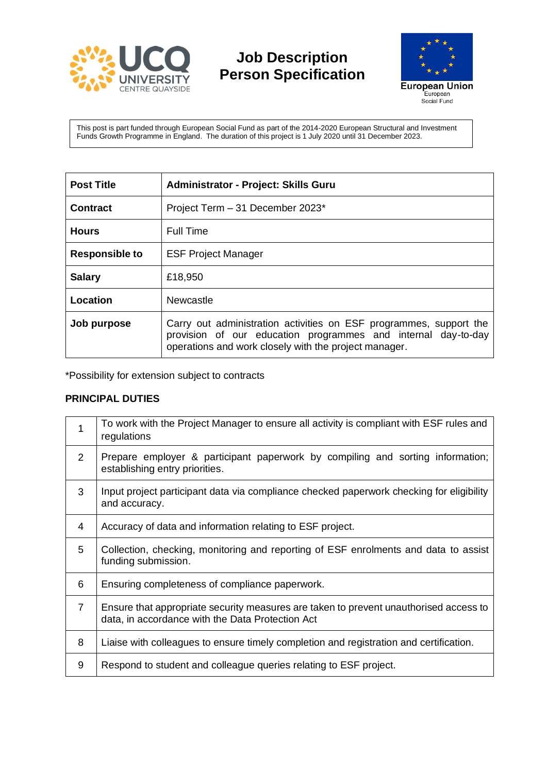

**Job Description Person Specification**



This post is part funded through European Social Fund as part of the 2014-2020 European Structural and Investment Funds Growth Programme in England. The duration of this project is 1 July 2020 until 31 December 2023.

| <b>Post Title</b>     | <b>Administrator - Project: Skills Guru</b>                                                                                                                                                  |  |
|-----------------------|----------------------------------------------------------------------------------------------------------------------------------------------------------------------------------------------|--|
| Contract              | Project Term - 31 December 2023*                                                                                                                                                             |  |
| <b>Hours</b>          | <b>Full Time</b>                                                                                                                                                                             |  |
| <b>Responsible to</b> | <b>ESF Project Manager</b>                                                                                                                                                                   |  |
| <b>Salary</b>         | £18,950                                                                                                                                                                                      |  |
| Location              | Newcastle                                                                                                                                                                                    |  |
| Job purpose           | Carry out administration activities on ESF programmes, support the<br>provision of our education programmes and internal day-to-day<br>operations and work closely with the project manager. |  |

\*Possibility for extension subject to contracts

## **PRINCIPAL DUTIES**

| 1              | To work with the Project Manager to ensure all activity is compliant with ESF rules and<br>regulations                                    |
|----------------|-------------------------------------------------------------------------------------------------------------------------------------------|
| $\overline{2}$ | Prepare employer & participant paperwork by compiling and sorting information;<br>establishing entry priorities.                          |
| 3              | Input project participant data via compliance checked paperwork checking for eligibility<br>and accuracy.                                 |
| 4              | Accuracy of data and information relating to ESF project.                                                                                 |
| 5              | Collection, checking, monitoring and reporting of ESF enrolments and data to assist<br>funding submission.                                |
| 6              | Ensuring completeness of compliance paperwork.                                                                                            |
| 7              | Ensure that appropriate security measures are taken to prevent unauthorised access to<br>data, in accordance with the Data Protection Act |
| 8              | Liaise with colleagues to ensure timely completion and registration and certification.                                                    |
| 9              | Respond to student and colleague queries relating to ESF project.                                                                         |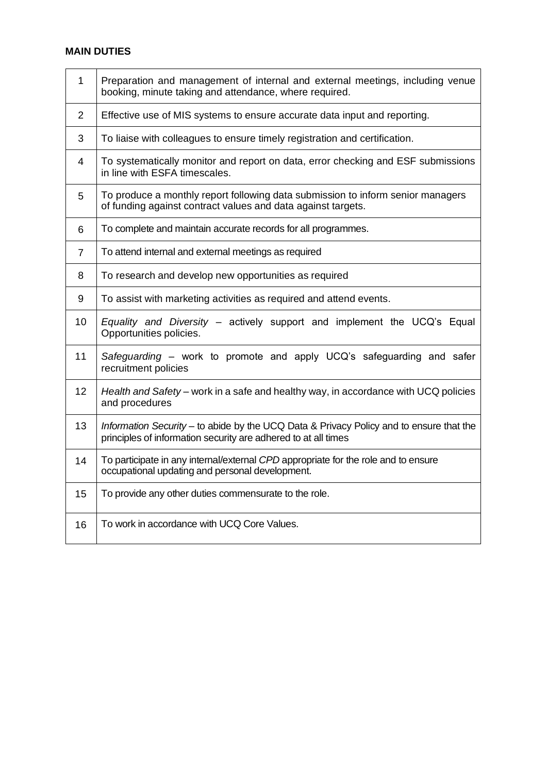## **MAIN DUTIES**

| $\mathbf{1}$   | Preparation and management of internal and external meetings, including venue<br>booking, minute taking and attendance, where required.                   |  |  |
|----------------|-----------------------------------------------------------------------------------------------------------------------------------------------------------|--|--|
| $\overline{2}$ | Effective use of MIS systems to ensure accurate data input and reporting.                                                                                 |  |  |
| 3              | To liaise with colleagues to ensure timely registration and certification.                                                                                |  |  |
| 4              | To systematically monitor and report on data, error checking and ESF submissions<br>in line with ESFA timescales.                                         |  |  |
| 5              | To produce a monthly report following data submission to inform senior managers<br>of funding against contract values and data against targets.           |  |  |
| 6              | To complete and maintain accurate records for all programmes.                                                                                             |  |  |
| 7              | To attend internal and external meetings as required                                                                                                      |  |  |
| 8              | To research and develop new opportunities as required                                                                                                     |  |  |
| 9              | To assist with marketing activities as required and attend events.                                                                                        |  |  |
| 10             | Equality and Diversity - actively support and implement the UCQ's Equal<br>Opportunities policies.                                                        |  |  |
| 11             | Safeguarding - work to promote and apply UCQ's safeguarding and safer<br>recruitment policies                                                             |  |  |
| 12             | Health and Safety – work in a safe and healthy way, in accordance with UCQ policies<br>and procedures                                                     |  |  |
| 13             | Information Security - to abide by the UCQ Data & Privacy Policy and to ensure that the<br>principles of information security are adhered to at all times |  |  |
| 14             | To participate in any internal/external CPD appropriate for the role and to ensure<br>occupational updating and personal development.                     |  |  |
| 15             | To provide any other duties commensurate to the role.                                                                                                     |  |  |
| 16             | To work in accordance with UCQ Core Values.                                                                                                               |  |  |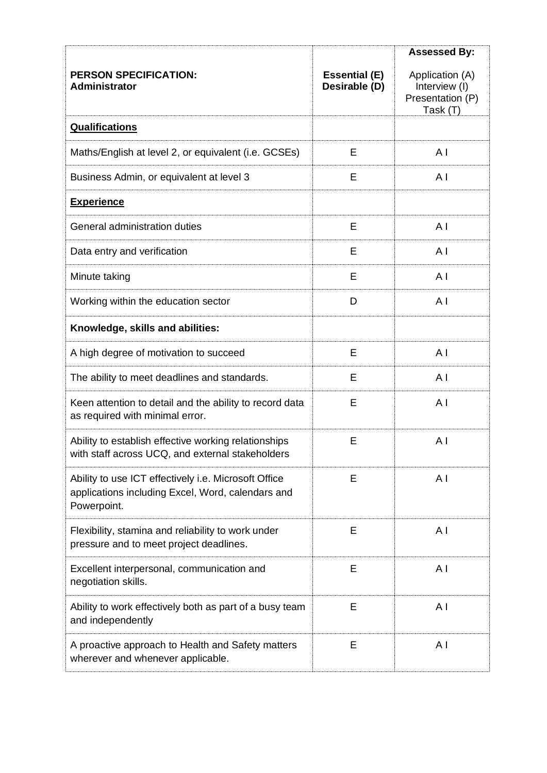|                                                                                                                          |                                       | <b>Assessed By:</b>                                              |
|--------------------------------------------------------------------------------------------------------------------------|---------------------------------------|------------------------------------------------------------------|
| <b>PERSON SPECIFICATION:</b><br><b>Administrator</b>                                                                     | <b>Essential (E)</b><br>Desirable (D) | Application (A)<br>Interview (I)<br>Presentation (P)<br>Task (T) |
| <b>Qualifications</b>                                                                                                    |                                       |                                                                  |
| Maths/English at level 2, or equivalent (i.e. GCSEs)                                                                     | E                                     | A <sub>l</sub>                                                   |
| Business Admin, or equivalent at level 3                                                                                 | E                                     | A I                                                              |
| <b>Experience</b>                                                                                                        |                                       |                                                                  |
| General administration duties                                                                                            | E                                     | A <sub>l</sub>                                                   |
| Data entry and verification                                                                                              | E                                     | A <sub>l</sub>                                                   |
| Minute taking                                                                                                            | E                                     | A <sub>l</sub>                                                   |
| Working within the education sector                                                                                      | D                                     | A <sub>1</sub>                                                   |
| Knowledge, skills and abilities:                                                                                         |                                       |                                                                  |
| A high degree of motivation to succeed                                                                                   | E                                     | A I                                                              |
| The ability to meet deadlines and standards.                                                                             | Е                                     | A <sub>l</sub>                                                   |
| Keen attention to detail and the ability to record data<br>as required with minimal error.                               | E                                     | A <sub>1</sub>                                                   |
| Ability to establish effective working relationships<br>with staff across UCQ, and external stakeholders                 | E                                     | A <sub>l</sub>                                                   |
| Ability to use ICT effectively i.e. Microsoft Office<br>applications including Excel, Word, calendars and<br>Powerpoint. | Е                                     | A <sub>1</sub>                                                   |
| Flexibility, stamina and reliability to work under<br>pressure and to meet project deadlines.                            | Е                                     | A <sub>1</sub>                                                   |
| Excellent interpersonal, communication and<br>negotiation skills.                                                        | E                                     | A <sub>1</sub>                                                   |
| Ability to work effectively both as part of a busy team<br>and independently                                             | E                                     | A <sub>l</sub>                                                   |
| A proactive approach to Health and Safety matters<br>wherever and whenever applicable.                                   | Ε                                     | A <sub>1</sub>                                                   |